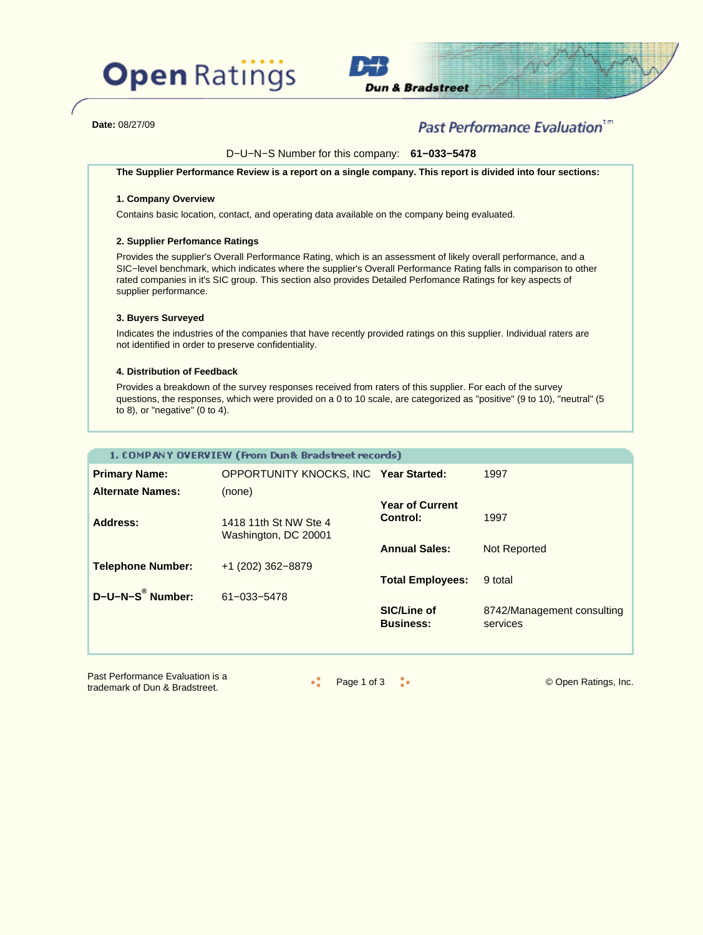



**Date:** 08/27/09

### Past Performance Evaluation\*"

D−U−N−S Number for this company: **61−033−5478**

**The Supplier Performance Review is a report on a single company. This report is divided into four sections:**

### **1. Company Overview**

Contains basic location, contact, and operating data available on the company being evaluated.

### **2. Supplier Perfomance Ratings**

Provides the supplier's Overall Performance Rating, which is an assessment of likely overall performance, and a SIC−level benchmark, which indicates where the supplier's Overall Performance Rating falls in comparison to other rated companies in it's SIC group. This section also provides Detailed Perfomance Ratings for key aspects of supplier performance.

### **3. Buyers Surveyed**

Indicates the industries of the companies that have recently provided ratings on this supplier. Individual raters are not identified in order to preserve confidentiality.

### **4. Distribution of Feedback**

Provides a breakdown of the survey responses received from raters of this supplier. For each of the survey questions, the responses, which were provided on a 0 to 10 scale, are categorized as "positive" (9 to 10), "neutral" (5 to 8), or "negative" (0 to 4).

|                          | 1. COMPANY OVERVIEW (From Dun& Bradstreet records) |                                    |                                        |
|--------------------------|----------------------------------------------------|------------------------------------|----------------------------------------|
| <b>Primary Name:</b>     | OPPORTUNITY KNOCKS, INC Year Started:              |                                    | 1997                                   |
| <b>Alternate Names:</b>  | (none)                                             |                                    |                                        |
| <b>Address:</b>          | 1418 11th St NW Ste 4<br>Washington, DC 20001      | <b>Year of Current</b><br>Control: | 1997                                   |
|                          |                                                    | <b>Annual Sales:</b>               | Not Reported                           |
| <b>Telephone Number:</b> | $+1$ (202) 362-8879                                |                                    |                                        |
|                          |                                                    | <b>Total Employees:</b>            | 9 total                                |
| D-U-N-S® Number:         | 61-033-5478                                        | <b>SIC/Line of</b>                 |                                        |
|                          |                                                    | <b>Business:</b>                   | 8742/Management consulting<br>services |
|                          |                                                    |                                    |                                        |

Past Performance Evaluation is a Page 1 of 3 Contract Communication of the Bradstreet.<br>Trademark of Dun & Bradstreet.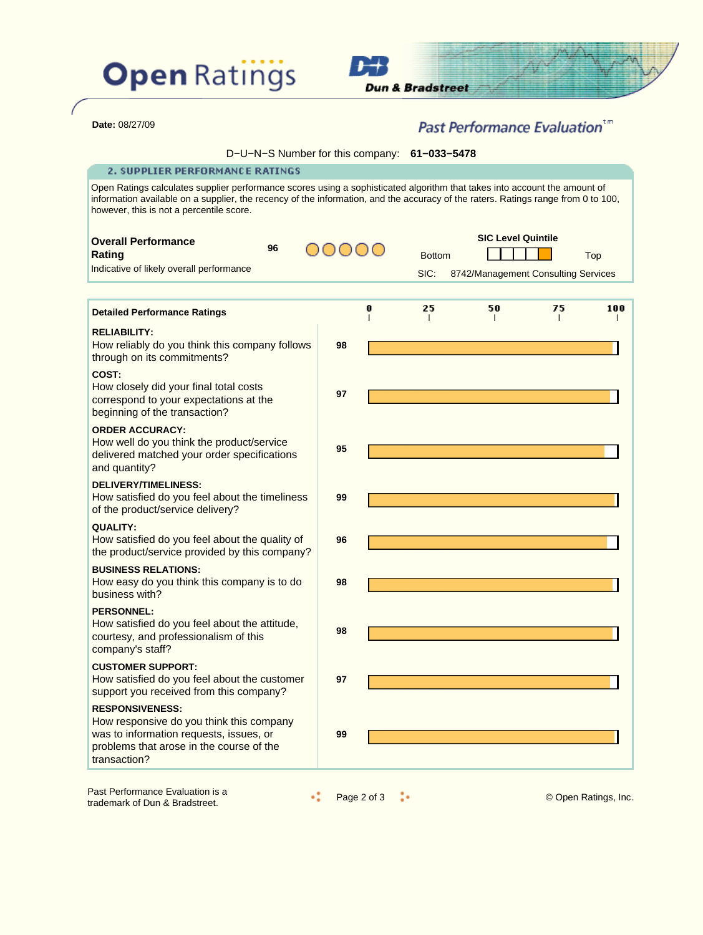



| Date: 08/27/09 |
|----------------|
|                |

# Past Performance Evaluation<sup>tm</sup>

| D-U-N-S Number for this company: 61-033-5478 |  |
|----------------------------------------------|--|
|----------------------------------------------|--|

### 2. SUPPLIER PERFORMANCE RATINGS

Open Ratings calculates supplier performance scores using a sophisticated algorithm that takes into account the amount of information available on a supplier, the recency of the information, and the accuracy of the raters. Ratings range from 0 to 100, however, this is not a percentile score.

| <b>Overall Performance</b>                                                                                                                                                |    |   |               | <b>SIC Level Quintile</b>           |    |     |
|---------------------------------------------------------------------------------------------------------------------------------------------------------------------------|----|---|---------------|-------------------------------------|----|-----|
| 96<br>Rating                                                                                                                                                              |    |   | <b>Bottom</b> |                                     |    | Top |
| Indicative of likely overall performance                                                                                                                                  |    |   | SIC:          | 8742/Management Consulting Services |    |     |
|                                                                                                                                                                           |    |   |               |                                     |    |     |
| <b>Detailed Performance Ratings</b>                                                                                                                                       |    | 0 | 25            | 50                                  | 75 | 100 |
| <b>RELIABILITY:</b><br>How reliably do you think this company follows<br>through on its commitments?                                                                      | 98 |   |               |                                     |    |     |
| COST:<br>How closely did your final total costs<br>correspond to your expectations at the<br>beginning of the transaction?                                                | 97 |   |               |                                     |    |     |
| <b>ORDER ACCURACY:</b><br>How well do you think the product/service<br>delivered matched your order specifications<br>and quantity?                                       | 95 |   |               |                                     |    |     |
| <b>DELIVERY/TIMELINESS:</b><br>How satisfied do you feel about the timeliness<br>of the product/service delivery?                                                         | 99 |   |               |                                     |    |     |
| <b>QUALITY:</b><br>How satisfied do you feel about the quality of<br>the product/service provided by this company?                                                        | 96 |   |               |                                     |    |     |
| <b>BUSINESS RELATIONS:</b><br>How easy do you think this company is to do<br>business with?                                                                               | 98 |   |               |                                     |    |     |
| <b>PERSONNEL:</b><br>How satisfied do you feel about the attitude,<br>courtesy, and professionalism of this<br>company's staff?                                           | 98 |   |               |                                     |    |     |
| <b>CUSTOMER SUPPORT:</b><br>How satisfied do you feel about the customer<br>support you received from this company?                                                       | 97 |   |               |                                     |    |     |
| <b>RESPONSIVENESS:</b><br>How responsive do you think this company<br>was to information requests, issues, or<br>problems that arose in the course of the<br>transaction? | 99 |   |               |                                     |    |     |

Past Performance Evaluation is a Past Performance Evaluation is a<br>trademark of Dun & Bradstreet. **Page 2 of 3** Page 2 of 3 © Open Ratings, Inc.